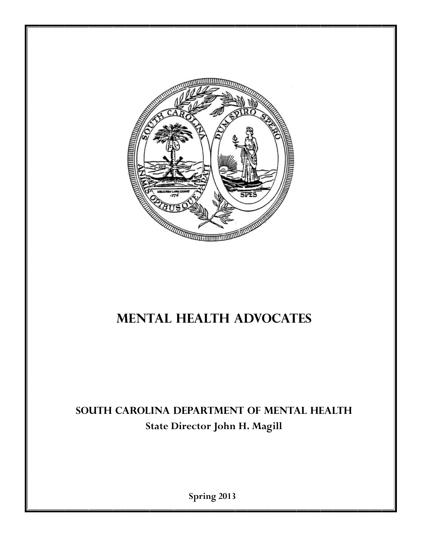

# **Mental Health Advocates**

# **SOUTH CAROLINA DEPARTMENT OF MENTAL HEALTH State Director John H. Magill**

**Spring 2013**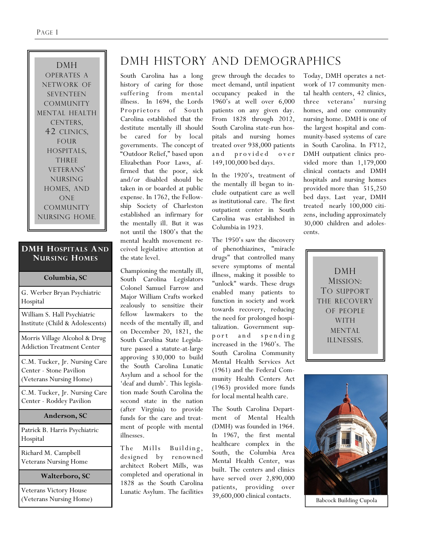DMH OPERATES A NETWORK OF SEVENTEEN COMMUNITY MENTAL HEALTH CENTERS, 42 CLINICS, FOUR HOSPITALS, THREE VETERANS' NURSING HOMES, AND ONE COMMUNITY NURSING HOME.

#### **DMH HOSPITALS AND NURSING HOMES**

| Columbia, SC                                                                        |
|-------------------------------------------------------------------------------------|
| G. Werber Bryan Psychiatric<br>Hospital                                             |
| William S. Hall Psychiatric<br>Institute (Child & Adolescents)                      |
| Morris Village Alcohol & Drug<br><b>Addiction Treatment Center</b>                  |
| C.M. Tucker, Jr. Nursing Care<br>Center - Stone Pavilion<br>(Veterans Nursing Home) |
| C.M. Tucker, Jr. Nursing Care<br>Center - Roddey Pavilion                           |
| Anderson, SC                                                                        |
| Patrick B. Harris Psychiatric<br>Hospital                                           |
| Richard M. Campbell<br><b>Veterans Nursing Home</b>                                 |

#### **Walterboro, SC**

Veterans Victory House (Veterans Nursing Home)

# DMH HISTORY AND DEMOGRAPHICS

South Carolina has a long history of caring for those suffering from mental illness. In 1694, the Lords Proprietors of South Carolina established that the destitute mentally ill should be cared for by local governments. The concept of "Outdoor Relief," based upon Elizabethan Poor Laws, affirmed that the poor, sick and/or disabled should be taken in or boarded at public expense. In 1762, the Fellowship Society of Charleston established an infirmary for the mentally ill. But it was not until the 1800's that the mental health movement received legislative attention at the state level.

Championing the mentally ill, South Carolina Legislators Colonel Samuel Farrow and Major William Crafts worked zealously to sensitize their fellow lawmakers to the needs of the mentally ill, and on December 20, 1821, the South Carolina State Legislature passed a statute-at-large approving \$30,000 to build the South Carolina Lunatic Asylum and a school for the 'deaf and dumb'. This legislation made South Carolina the second state in the nation (after Virginia) to provide funds for the care and treatment of people with mental illnesses.

The Mills Building, designed by renowned architect Robert Mills, was completed and operational in 1828 as the South Carolina Lunatic Asylum. The facilities

grew through the decades to meet demand, until inpatient occupancy peaked in the 1960's at well over 6,000 patients on any given day. From 1828 through 2012, South Carolina state-run hospitals and nursing homes treated over 938,000 patients and provided over 149,100,000 bed days.

In the 1920's, treatment of the mentally ill began to include outpatient care as well as institutional care. The first outpatient center in South Carolina was established in Columbia in 1923.

The 1950's saw the discovery of phenothiazines, "miracle drugs" that controlled many severe symptoms of mental illness, making it possible to "unlock" wards. These drugs enabled many patients to function in society and work towards recovery, reducing the need for prolonged hospitalization. Government supp or t and spending increased in the 1960's. The South Carolina Community Mental Health Services Act (1961) and the Federal Community Health Centers Act (1963) provided more funds for local mental health care.

The South Carolina Department of Mental Health (DMH) was founded in 1964. In 1967, the first mental healthcare complex in the South, the Columbia Area Mental Health Center, was built. The centers and clinics have served over 2,890,000 patients, providing over 39,600,000 clinical contacts.

Today, DMH operates a network of 17 community mental health centers, 42 clinics, three veterans' nursing homes, and one community nursing home. DMH is one of the largest hospital and community-based systems of care in South Carolina. In FY12, DMH outpatient clinics provided more than 1,179,000 clinical contacts and DMH hospitals and nursing homes provided more than 515,250 bed days. Last year, DMH treated nearly 100,000 citizens, including approximately 30,000 children and adolescents.

> DMH MISSION: TO SUPPORT THE RECOVERY OF PEOPLE WITH MENTAL ILLNESSES.



Babcock Building Cupola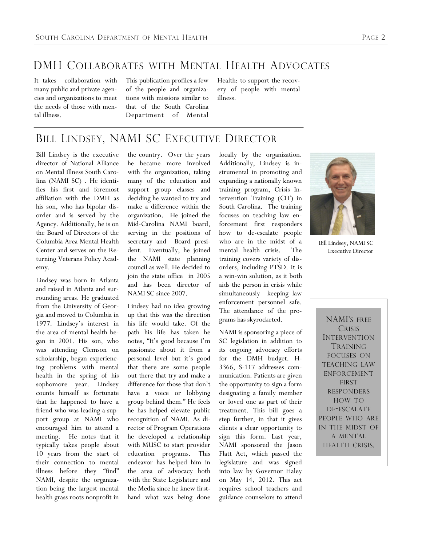### DMH COLLABORATES WITH MENTAL HEALTH ADVOCATES

It takes collaboration with many public and private agencies and organizations to meet the needs of those with mental illness.

This publication profiles a few of the people and organizations with missions similar to that of the South Carolina Department of Mental Health: to support the recovery of people with mental illness.

### BILL LINDSEY, NAMI SC EXECUTIVE DIRECTOR

Bill Lindsey is the executive director of National Alliance on Mental Illness South Carolina (NAMI SC) . He identifies his first and foremost affiliation with the DMH as his son, who has bipolar disorder and is served by the Agency. Additionally, he is on the Board of Directors of the Columbia Area Mental Health Center and serves on the Returning Veterans Policy Academy.

Lindsey was born in Atlanta and raised in Atlanta and surrounding areas. He graduated from the University of Georgia and moved to Columbia in 1977. Lindsey's interest in the area of mental health began in 2001. His son, who was attending Clemson on scholarship, began experiencing problems with mental health in the spring of his sophomore year. Lindsey counts himself as fortunate that he happened to have a friend who was leading a support group at NAMI who encouraged him to attend a meeting. He notes that it typically takes people about 10 years from the start of their connection to mental illness before they "find" NAMI, despite the organization being the largest mental health grass roots nonprofit in

the country. Over the years he became more involved with the organization, taking many of the education and support group classes and deciding he wanted to try and make a difference within the organization. He joined the Mid-Carolina NAMI board, serving in the positions of secretary and Board president. Eventually, he joined the NAMI state planning council as well. He decided to join the state office in 2005 and has been director of NAMI SC since 2007.

Lindsey had no idea growing up that this was the direction his life would take. Of the path his life has taken he notes, "It's good because I'm passionate about it from a personal level but it's good that there are some people out there that try and make a difference for those that don't have a voice or lobbying group behind them.‖ He feels he has helped elevate public recognition of NAMI. As director of Program Operations he developed a relationship with MUSC to start provider education programs. This endeavor has helped him in the area of advocacy both with the State Legislature and the Media since he knew firsthand what was being done locally by the organization. Additionally, Lindsey is instrumental in promoting and expanding a nationally known training program, Crisis Intervention Training (CIT) in South Carolina. The training focuses on teaching law enforcement first responders how to de-escalate people who are in the midst of a mental health crisis. The training covers variety of disorders, including PTSD. It is a win-win solution, as it both aids the person in crisis while simultaneously keeping law enforcement personnel safe. The attendance of the programs has skyrocketed.

NAMI is sponsoring a piece of SC legislation in addition to its ongoing advocacy efforts for the DMH budget. H-3366, S-117 addresses communication. Patients are given the opportunity to sign a form designating a family member or loved one as part of their treatment. This bill goes a step further, in that it gives clients a clear opportunity to sign this form. Last year, NAMI sponsored the Jason Flatt Act, which passed the legislature and was signed into law by Governor Haley on May 14, 2012. This act requires school teachers and guidance counselors to attend



Bill Lindsey, NAMI SC Executive Director

NAMI'S FREE **CRISIS** INTERVENTION TRAINING FOCUSES ON TEACHING LAW ENFORCEMENT FIRST RESPONDERS HOW TO DE-ESCALATE PEOPLE WHO ARE IN THE MIDST OF A MENTAL HEALTH CRISIS.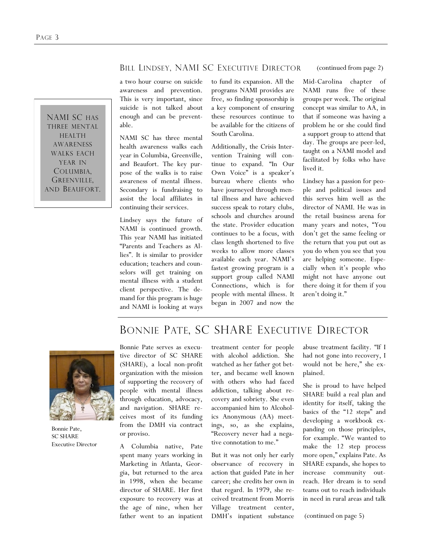#### BILL LINDSEY, NAMI SC EXECUTIVE DIRECTOR

NAMI SC HAS THREE MENTAL HEALTH AWARENESS WALKS EACH YEAR IN COLUMBIA, GREENVILLE, AND BEAUFORT. a two hour course on suicide awareness and prevention. This is very important, since suicide is not talked about enough and can be preventable.

NAMI SC has three mental health awareness walks each year in Columbia, Greenville, and Beaufort. The key purpose of the walks is to raise awareness of mental illness. Secondary is fundraising to assist the local affiliates in continuing their services.

Lindsey says the future of NAMI is continued growth. This year NAMI has initiated ―Parents and Teachers as Allies". It is similar to provider education; teachers and counselors will get training on mental illness with a student client perspective. The demand for this program is huge and NAMI is looking at ways

to fund its expansion. All the programs NAMI provides are free, so finding sponsorship is a key component of ensuring these resources continue to be available for the citizens of South Carolina.

Additionally, the Crisis Intervention Training will continue to expand. "In Our Own Voice" is a speaker's bureau where clients who have journeyed through mental illness and have achieved success speak to rotary clubs, schools and churches around the state. Provider education continues to be a focus, with class length shortened to five weeks to allow more classes available each year. NAMI's fastest growing program is a support group called NAMI Connections, which is for people with mental illness. It began in 2007 and now the

(continued from page 2)

Mid-Carolina chapter of NAMI runs five of these groups per week. The original concept was similar to AA, in that if someone was having a problem he or she could find a support group to attend that day. The groups are peer-led, taught on a NAMI model and facilitated by folks who have lived it.

Lindsey has a passion for people and political issues and this serves him well as the director of NAMI. He was in the retail business arena for many years and notes, "You don't get the same feeling or the return that you put out as you do when you see that you are helping someone. Especially when it's people who might not have anyone out there doing it for them if you aren't doing it."

### BONNIE PATE, SC SHARE EXECUTIVE DIRECTOR



Bonnie Pate, SC SHARE Executive Director

Bonnie Pate serves as executive director of SC SHARE (SHARE), a local non-profit organization with the mission of supporting the recovery of people with mental illness through education, advocacy, and navigation. SHARE receives most of its funding from the DMH via contract or proviso.

A Columbia native, Pate spent many years working in Marketing in Atlanta, Georgia, but returned to the area in 1998, when she became director of SHARE. Her first exposure to recovery was at the age of nine, when her father went to an inpatient

treatment center for people with alcohol addiction. She watched as her father got better, and became well known with others who had faced addiction, talking about recovery and sobriety. She even accompanied him to Alcoholics Anonymous (AA) meetings, so, as she explains, ―Recovery never had a negative connotation to me."

But it was not only her early observance of recovery in action that guided Pate in her career; she credits her own in that regard. In 1979, she received treatment from Morris Village treatment center, DMH's inpatient substance abuse treatment facility. "If I had not gone into recovery, I would not be here," she explained.

She is proud to have helped SHARE build a real plan and identity for itself, taking the basics of the "12 steps" and developing a workbook expanding on those principles, for example. "We wanted to make the 12 step process more open," explains Pate. As SHARE expands, she hopes to increase community outreach. Her dream is to send teams out to reach individuals in need in rural areas and talk

(continued on page 5)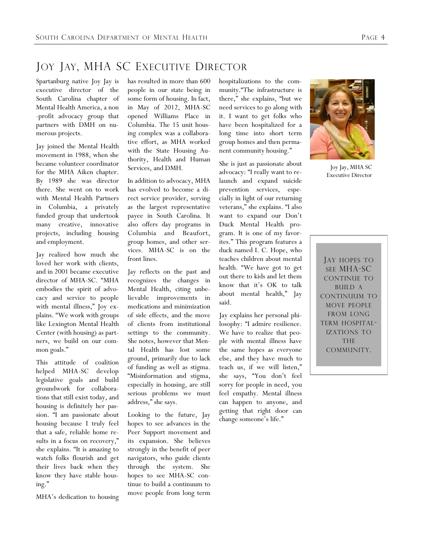## JOY JAY, MHA SC EXECUTIVE DIRECTOR

Spartanburg native Joy Jay is executive director of the South Carolina chapter of Mental Health America, a non -profit advocacy group that partners with DMH on numerous projects.

Jay joined the Mental Health movement in 1988, when she became volunteer coordinator for the MHA Aiken chapter. By 1989 she was director there. She went on to work with Mental Health Partners in Columbia, a privately funded group that undertook many creative, innovative projects, including housing and employment.

Jay realized how much she loved her work with clients, and in 2001 became executive director of MHA-SC. "MHA embodies the spirit of advocacy and service to people with mental illness," Joy explains. "We work with groups like Lexington Mental Health Center (with housing) as partners, we build on our common goals."

This attitude of coalition helped MHA-SC develop legislative goals and build groundwork for collaborations that still exist today, and housing is definitely her passion. "I am passionate about housing because I truly feel that a safe, reliable home results in a focus on recovery," she explains. "It is amazing to watch folks flourish and get their lives back when they know they have stable housing."

MHA's dedication to housing

has resulted in more than 600 people in our state being in some form of housing. In fact, in May of 2012, MHA-SC opened Williams Place in Columbia. The 15 unit housing complex was a collaborative effort, as MHA worked with the State Housing Authority, Health and Human Services, and DMH.

In addition to advocacy, MHA has evolved to become a direct service provider, serving as the largest representative payee in South Carolina. It also offers day programs in Columbia and Beaufort, group homes, and other services. MHA-SC is on the front lines.

Jay reflects on the past and recognizes the changes in Mental Health, citing unbelievable improvements in medications and minimization of side effects, and the move of clients from institutional settings to the community. She notes, however that Mental Health has lost some ground, primarily due to lack of funding as well as stigma. ―Misinformation and stigma, especially in housing, are still serious problems we must address," she says.

Looking to the future, Jay hopes to see advances in the Peer Support movement and its expansion. She believes strongly in the benefit of peer navigators, who guide clients through the system. She hopes to see MHA-SC continue to build a continuum to move people from long term hospitalizations to the community."The infrastructure is there," she explains, "but we need services to go along with it. I want to get folks who have been hospitalized for a long time into short term group homes and then permanent community housing."

She is just as passionate about advocacy: "I really want to relaunch and expand suicide prevention services, especially in light of our returning veterans," she explains. "I also want to expand our Don't Duck Mental Health program. It is one of my favorites." This program features a duck named I. C. Hope, who teaches children about mental health. "We have got to get out there to kids and let them know that it's OK to talk about mental health," Jay said.

Jay explains her personal philosophy: "I admire resilience. We have to realize that people with mental illness have the same hopes as everyone else, and they have much to teach us, if we will listen," she says, "You don't feel sorry for people in need, you feel empathy. Mental illness can happen to anyone, and getting that right door can change someone's life."



Joy Jay, MHA SC Executive Director

JAY HOPES TO SEE MHA-SC CONTINUE TO BUILD A CONTINUUM TO MOVE PEOPLE FROM LONG TERM HOSPITAL-IZATIONS TO THE COMMUNITY.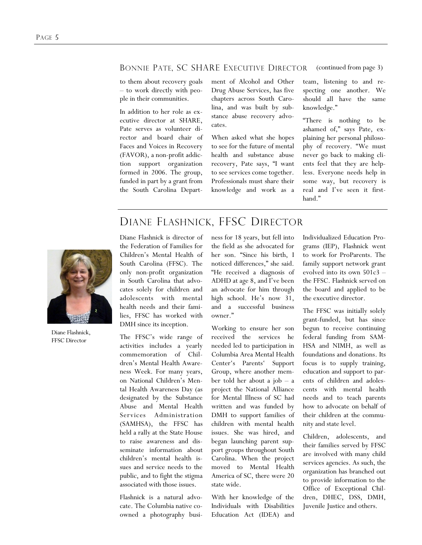#### BONNIE PATE, SC SHARE EXECUTIVE DIRECTOR (continued from page 3)

to them about recovery goals – to work directly with people in their communities.

In addition to her role as executive director at SHARE, Pate serves as volunteer director and board chair of Faces and Voices in Recovery (FAVOR), a non-profit addiction support organization formed in 2006. The group, funded in part by a grant from the South Carolina Department of Alcohol and Other Drug Abuse Services, has five chapters across South Carolina, and was built by substance abuse recovery advocates.

When asked what she hopes to see for the future of mental health and substance abuse recovery, Pate says, "I want to see services come together. Professionals must share their knowledge and work as a

team, listening to and respecting one another. We should all have the same knowledge."

―There is nothing to be ashamed of," says Pate, explaining her personal philosophy of recovery. "We must never go back to making clients feel that they are helpless. Everyone needs help in some way, but recovery is real and I've seen it firsthand."

### DIANE FLASHNICK, FFSC DIRECTOR



Diane Flashnick, FFSC Director

Diane Flashnick is director of the Federation of Families for Children's Mental Health of South Carolina (FFSC). The only non-profit organization in South Carolina that advocates solely for children and adolescents with mental health needs and their families, FFSC has worked with DMH since its inception.

The FFSC's wide range of activities includes a yearly commemoration of Children's Mental Health Awareness Week. For many years, on National Children's Mental Health Awareness Day (as designated by the Substance Abuse and Mental Health Services Administration (SAMHSA), the FFSC has held a rally at the State House to raise awareness and disseminate information about children's mental health issues and service needs to the public, and to fight the stigma associated with those issues.

Flashnick is a natural advocate. The Columbia native coowned a photography business for 18 years, but fell into the field as she advocated for her son. "Since his birth, I noticed differences," she said. "He received a diagnosis of ADHD at age 8, and I've been an advocate for him through high school. He's now 31, and a successful business owner."

Working to ensure her son received the services he needed led to participation in Columbia Area Mental Health Center's Parents' Support Group, where another member told her about a job – a project the National Alliance for Mental Illness of SC had written and was funded by DMH to support families of children with mental health issues. She was hired, and began launching parent support groups throughout South Carolina. When the project moved to Mental Health America of SC, there were 20 state wide.

With her knowledge of the Individuals with Disabilities Education Act (IDEA) and Individualized Education Programs (IEP), Flashnick went to work for ProParents. The family support network grant evolved into its own 501c3 – the FFSC. Flashnick served on the board and applied to be the executive director.

The FFSC was initially solely grant-funded, but has since begun to receive continuing federal funding from SAM-HSA and NIMH, as well as foundations and donations. Its focus is to supply training, education and support to parents of children and adolescents with mental health needs and to teach parents how to advocate on behalf of their children at the community and state level.

Children, adolescents, and their families served by FFSC are involved with many child services agencies. As such, the organization has branched out to provide information to the Office of Exceptional Children, DHEC, DSS, DMH, Juvenile Justice and others.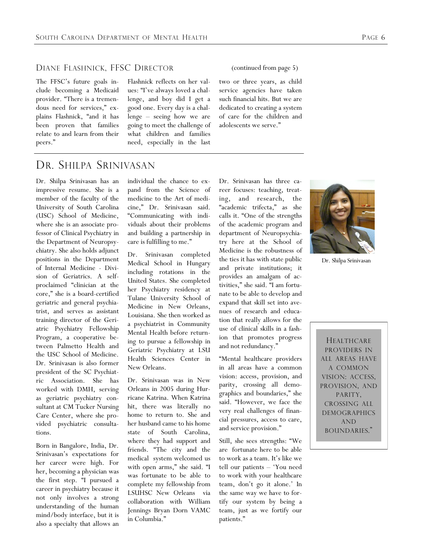#### DIANE FLASHNICK, FFSC DIRECTOR

The FFSC's future goals include becoming a Medicaid provider. "There is a tremendous need for services," explains Flashnick, "and it has been proven that families relate to and learn from their peers."

#### Flashnick reflects on her values: "I've always loved a challenge, and boy did I get a good one. Every day is a challenge – seeing how we are going to meet the challenge of what children and families need, especially in the last

two or three years, as child service agencies have taken such financial hits. But we are dedicated to creating a system of care for the children and adolescents we serve."

(continued from page 5)

### DR. SHILPA SRINIVASAN

Dr. Shilpa Srinivasan has an impressive resume. She is a member of the faculty of the University of South Carolina (USC) School of Medicine, where she is an associate professor of Clinical Psychiatry in the Department of Neuropsychiatry. She also holds adjunct positions in the Department of Internal Medicine - Division of Geriatrics. A selfproclaimed "clinician at the core," she is a board-certified geriatric and general psychiatrist, and serves as assistant training director of the Geriatric Psychiatry Fellowship Program, a cooperative between Palmetto Health and the USC School of Medicine. Dr. Srinivasan is also former president of the SC Psychiatric Association. She has worked with DMH, serving as geriatric psychiatry consultant at CM Tucker Nursing Care Center, where she provided psychiatric consultations.

Born in Bangalore, India, Dr. Srinivasan's expectations for her career were high. For her, becoming a physician was the first step. "I pursued a career in psychiatry because it not only involves a strong understanding of the human mind/body interface, but it is also a specialty that allows an

individual the chance to expand from the Science of medicine to the Art of medicine," Dr. Srinivasan said. ―Communicating with individuals about their problems and building a partnership in care is fulfilling to me."

Dr. Srinivasan completed Medical School in Hungary including rotations in the United States. She completed her Psychiatry residency at Tulane University School of Medicine in New Orleans, Louisiana. She then worked as a psychiatrist in Community Mental Health before returning to pursue a fellowship in Geriatric Psychiatry at LSU Health Sciences Center in New Orleans.

Dr. Srinivasan was in New Orleans in 2005 during Hurricane Katrina. When Katrina hit, there was literally no home to return to. She and her husband came to his home state of South Carolina, where they had support and friends. "The city and the medical system welcomed us with open arms," she said. "I was fortunate to be able to complete my fellowship from LSUHSC New Orleans via collaboration with William Jennings Bryan Dorn VAMC in Columbia."

Dr. Srinivasan has three career focuses: teaching, treating, and research, the "academic trifecta," as she calls it. "One of the strengths of the academic program and department of Neuropsychiatry here at the School of Medicine is the robustness of the ties it has with state public and private institutions; it provides an amalgam of activities," she said. "I am fortunate to be able to develop and expand that skill set into avenues of research and education that really allows for the use of clinical skills in a fashion that promotes progress and not redundancy."

―Mental healthcare providers in all areas have a common vision: access, provision, and parity, crossing all demographics and boundaries," she said. "However, we face the very real challenges of financial pressures, access to care, and service provision."

Still, she sees strengths: "We are fortunate here to be able to work as a team. It's like we tell our patients – 'You need to work with your healthcare team, don't go it alone.' In the same way we have to fortify our system by being a team, just as we fortify our patients."



Dr. Shilpa Srinivasan

**HEALTHCARE** PROVIDERS IN ALL AREAS HAVE A COMMON VISION: ACCESS, PROVISION, AND PARITY, CROSSING ALL DEMOGRAPHICS AND BOUNDARIES."